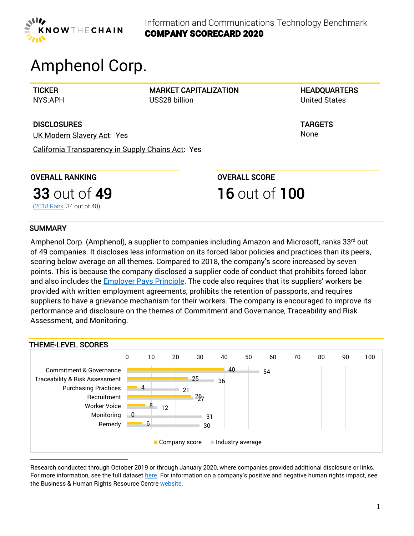

# Amphenol Corp.

**TICKER** NYS:APH MARKET CAPITALIZATION US\$28 billion

**HEADQUARTERS** United States

TARGETS None

**DISCLOSURES** UK Modern Slavery Act: Yes

California Transparency in Supply Chains Act: Yes

OVERALL RANKING

OVERALL SCORE 16 out of 100

[\(2018 Rank:](https://knowthechain.org/wp-content/plugins/ktc-benchmark/app/public/images/company_reports/2018_KTC_Company_Scorecard_Amphenol.pdf) 34 out of 40)

**33 out of 49** 

## **SUMMARY**

Amphenol Corp. (Amphenol), a supplier to companies including Amazon and Microsoft, ranks 33<sup>rd</sup> out of 49 companies. It discloses less information on its forced labor policies and practices than its peers, scoring below average on all themes. Compared to 2018, the company's score increased by seven points. This is because the company disclosed a supplier code of conduct that prohibits forced labor and also includes the **Employer Pays Principle**. The code also requires that its suppliers' workers be provided with written employment agreements, prohibits the retention of passports, and requires suppliers to have a grievance mechanism for their workers. The company is encouraged to improve its performance and disclosure on the themes of Commitment and Governance, Traceability and Risk Assessment, and Monitoring.



Research conducted through October 2019 or through January 2020, where companies provided additional disclosure or links. For more information, see the full dataset [here.](https://knowthechain.org/wp-content/uploads/2020-KTC-ICT-Benchmark-Data-Set.xlsx) For information on a company's positive and negative human rights impact, see the Business & Human Rights Resource Centre [website.](https://www.business-humanrights.org/en/amphenol-corporation)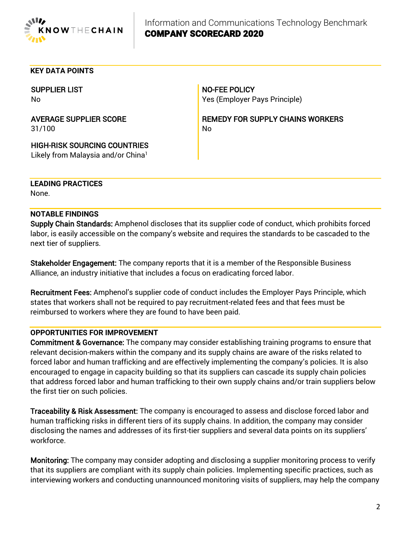

#### **KEY DATA POINTS**

SUPPLIER LIST No

AVERAGE SUPPLIER SCORE 31/100

NO-FEE POLICY Yes (Employer Pays Principle)

REMEDY FOR SUPPLY CHAINS WORKERS No

HIGH-RISK SOURCING COUNTRIES Likely from Malaysia and/or China<sup>1</sup>

**LEADING PRACTICES** None.

#### **NOTABLE FINDINGS**

Supply Chain Standards: Amphenol discloses that its supplier code of conduct, which prohibits forced labor, is easily accessible on the company's website and requires the standards to be cascaded to the next tier of suppliers.

Stakeholder Engagement: The company reports that it is a member of the Responsible Business Alliance, an industry initiative that includes a focus on eradicating forced labor.

Recruitment Fees: Amphenol's supplier code of conduct includes the Employer Pays Principle, which states that workers shall not be required to pay recruitment-related fees and that fees must be reimbursed to workers where they are found to have been paid.

### **OPPORTUNITIES FOR IMPROVEMENT**

Commitment & Governance: The company may consider establishing training programs to ensure that relevant decision-makers within the company and its supply chains are aware of the risks related to forced labor and human trafficking and are effectively implementing the company's policies. It is also encouraged to engage in capacity building so that its suppliers can cascade its supply chain policies that address forced labor and human trafficking to their own supply chains and/or train suppliers below the first tier on such policies.

Traceability & Risk Assessment: The company is encouraged to assess and disclose forced labor and human trafficking risks in different tiers of its supply chains. In addition, the company may consider disclosing the names and addresses of its first-tier suppliers and several data points on its suppliers' workforce.

Monitoring: The company may consider adopting and disclosing a supplier monitoring process to verify that its suppliers are compliant with its supply chain policies. Implementing specific practices, such as interviewing workers and conducting unannounced monitoring visits of suppliers, may help the company